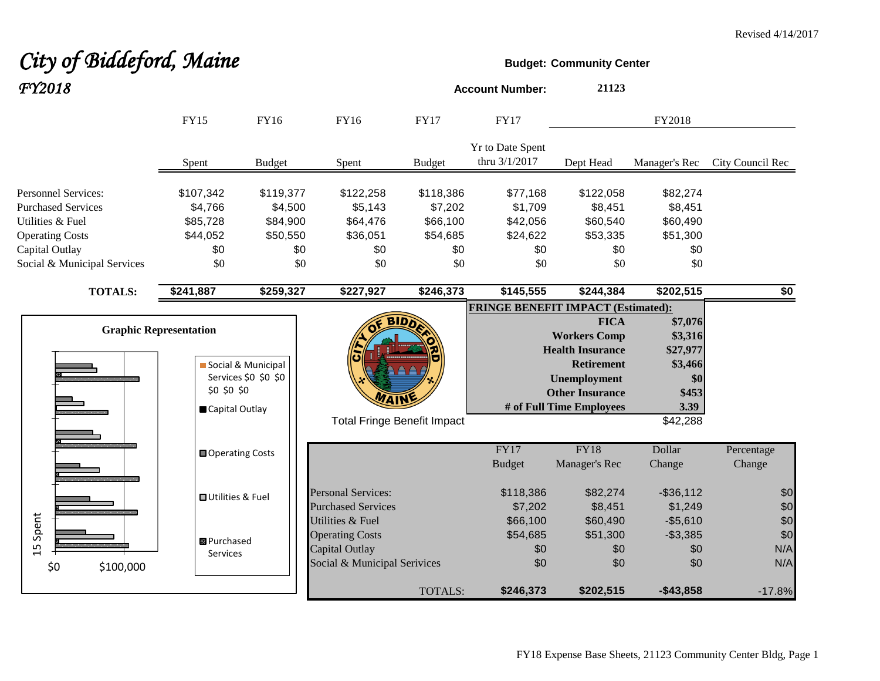# **City of Biddeford, Maine Budget:** Community Center *FY2018* **Account Number: <sup>21123</sup>**

|                                                                                                                                                        | <b>FY15</b>                                                | FY16                                                       | FY16                                                                                         | <b>FY17</b>                                                | <b>FY17</b>                                               |                                                                                                                                                                 | FY2018                                                                        |                          |
|--------------------------------------------------------------------------------------------------------------------------------------------------------|------------------------------------------------------------|------------------------------------------------------------|----------------------------------------------------------------------------------------------|------------------------------------------------------------|-----------------------------------------------------------|-----------------------------------------------------------------------------------------------------------------------------------------------------------------|-------------------------------------------------------------------------------|--------------------------|
|                                                                                                                                                        | Spent                                                      | <b>Budget</b>                                              | Spent                                                                                        | <b>Budget</b>                                              | Yr to Date Spent<br>thru 3/1/2017                         | Dept Head                                                                                                                                                       | Manager's Rec                                                                 | City Council Rec         |
| <b>Personnel Services:</b><br><b>Purchased Services</b><br>Utilities & Fuel<br><b>Operating Costs</b><br>Capital Outlay<br>Social & Municipal Services | \$107,342<br>\$4,766<br>\$85,728<br>\$44,052<br>\$0<br>\$0 | \$119,377<br>\$4,500<br>\$84,900<br>\$50,550<br>\$0<br>\$0 | \$122,258<br>\$5,143<br>\$64,476<br>\$36,051<br>\$0<br>\$0                                   | \$118,386<br>\$7,202<br>\$66,100<br>\$54,685<br>\$0<br>\$0 | \$77,168<br>\$1,709<br>\$42,056<br>\$24,622<br>\$0<br>\$0 | \$122,058<br>\$8,451<br>\$60,540<br>\$53,335<br>\$0<br>\$0                                                                                                      | \$82,274<br>\$8,451<br>\$60,490<br>\$51,300<br>\$0<br>\$0                     |                          |
| <b>TOTALS:</b>                                                                                                                                         | \$241,887                                                  | \$259,327                                                  | \$227,927                                                                                    | \$246,373                                                  | \$145,555                                                 | \$244,384                                                                                                                                                       | \$202,515                                                                     | \$0                      |
| <b>Graphic Representation</b>                                                                                                                          | \$0 \$0 \$0<br>Capital Outlay                              | Social & Municipal<br>Services \$0 \$0 \$0                 | <b>Total Fringe Benefit Impact</b>                                                           |                                                            | <b>FRINGE BENEFIT IMPACT (Estimated):</b>                 | <b>FICA</b><br><b>Workers Comp</b><br><b>Health Insurance</b><br><b>Retirement</b><br><b>Unemployment</b><br><b>Other Insurance</b><br># of Full Time Employees | \$7,076<br>\$3,316<br>\$27,977<br>\$3,466<br>\$0<br>\$453<br>3.39<br>\$42,288 |                          |
|                                                                                                                                                        | Operating Costs                                            |                                                            |                                                                                              |                                                            | FY17<br><b>Budget</b>                                     | <b>FY18</b><br>Manager's Rec                                                                                                                                    | Dollar<br>Change                                                              | Percentage<br>Change     |
|                                                                                                                                                        | <b>□</b> Utilities & Fuel                                  |                                                            | <b>Personal Services:</b><br><b>Purchased Services</b>                                       |                                                            | \$118,386<br>\$7,202                                      | \$82,274<br>\$8,451                                                                                                                                             | $-$ \$36,112<br>\$1,249                                                       | \$0<br>\$0               |
| Spent<br>15<br>\$0<br>\$100,000                                                                                                                        | <b>B</b> Purchased<br><b>Services</b>                      |                                                            | Utilities & Fuel<br><b>Operating Costs</b><br>Capital Outlay<br>Social & Municipal Serivices |                                                            | \$66,100<br>\$54,685<br>\$0<br>\$0                        | \$60,490<br>\$51,300<br>\$0<br>\$0                                                                                                                              | $-$5,610$<br>$-$3,385$<br>\$0<br>\$0                                          | \$0<br>\$0<br>N/A<br>N/A |
|                                                                                                                                                        |                                                            |                                                            |                                                                                              | TOTALS:                                                    | \$246,373                                                 | \$202,515                                                                                                                                                       | $-$43,858$                                                                    | $-17.8%$                 |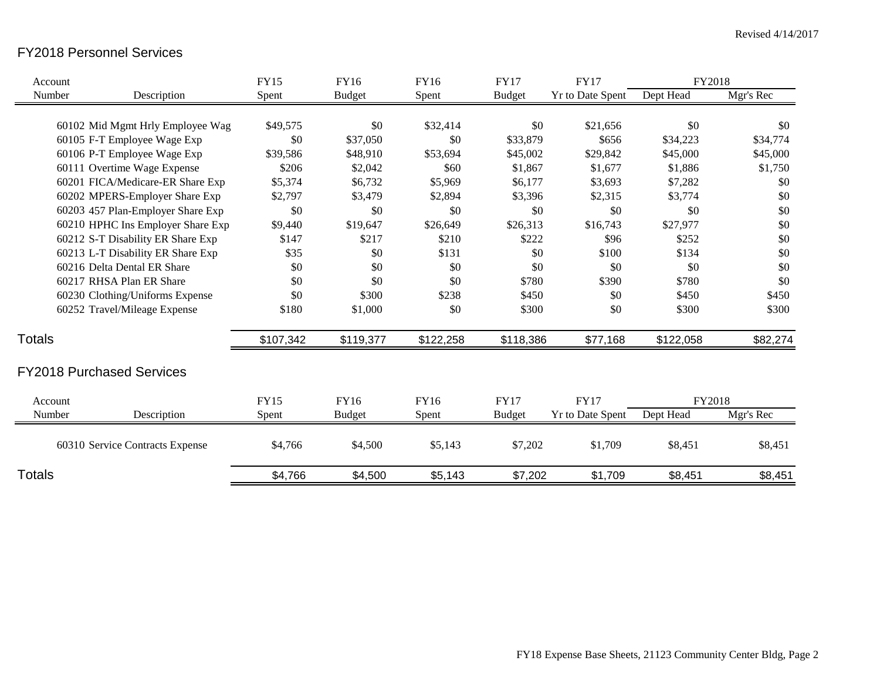### FY2018 Personnel Services

| Account       |                                   | <b>FY15</b> | <b>FY16</b>   | <b>FY16</b> | <b>FY17</b>   | <b>FY17</b>             | FY2018    |           |
|---------------|-----------------------------------|-------------|---------------|-------------|---------------|-------------------------|-----------|-----------|
| Number        | Description                       | Spent       | <b>Budget</b> | Spent       | <b>Budget</b> | <b>Yr to Date Spent</b> | Dept Head | Mgr's Rec |
|               |                                   |             |               |             |               |                         |           |           |
|               | 60102 Mid Mgmt Hrly Employee Wag  | \$49,575    | \$0           | \$32,414    | \$0           | \$21,656                | \$0       | \$0       |
|               | 60105 F-T Employee Wage Exp       | \$0         | \$37,050      | \$0         | \$33,879      | \$656                   | \$34,223  | \$34,774  |
|               | 60106 P-T Employee Wage Exp       | \$39,586    | \$48,910      | \$53,694    | \$45,002      | \$29,842                | \$45,000  | \$45,000  |
|               | 60111 Overtime Wage Expense       | \$206       | \$2,042       | \$60        | \$1,867       | \$1,677                 | \$1,886   | \$1,750   |
|               | 60201 FICA/Medicare-ER Share Exp  | \$5,374     | \$6,732       | \$5,969     | \$6,177       | \$3,693                 | \$7,282   | \$0       |
|               | 60202 MPERS-Employer Share Exp    | \$2,797     | \$3,479       | \$2,894     | \$3,396       | \$2,315                 | \$3,774   | \$0       |
|               | 60203 457 Plan-Employer Share Exp | \$0         | \$0           | \$0         | \$0           | \$0                     | \$0       | \$0       |
|               | 60210 HPHC Ins Employer Share Exp | \$9,440     | \$19,647      | \$26,649    | \$26,313      | \$16,743                | \$27,977  | \$0       |
|               | 60212 S-T Disability ER Share Exp | \$147       | \$217         | \$210       | \$222         | \$96                    | \$252     | \$0       |
|               | 60213 L-T Disability ER Share Exp | \$35        | \$0           | \$131       | \$0           | \$100                   | \$134     | \$0       |
|               | 60216 Delta Dental ER Share       | \$0         | \$0           | \$0         | \$0           | \$0                     | \$0       | \$0       |
|               | 60217 RHSA Plan ER Share          | \$0         | \$0           | \$0         | \$780         | \$390                   | \$780     | \$0       |
|               | 60230 Clothing/Uniforms Expense   | \$0         | \$300         | \$238       | \$450         | \$0                     | \$450     | \$450     |
|               | 60252 Travel/Mileage Expense      | \$180       | \$1,000       | \$0         | \$300         | \$0                     | \$300     | \$300     |
| <b>Totals</b> |                                   | \$107,342   | \$119,377     | \$122,258   | \$118,386     | \$77,168                | \$122,058 | \$82,274  |
|               | <b>FY2018 Purchased Services</b>  |             |               |             |               |                         |           |           |
| Account       |                                   | <b>FY15</b> | FY16          | FY16        | <b>FY17</b>   | <b>FY17</b>             | FY2018    |           |
| Number        | Description                       | Spent       | <b>Budget</b> | Spent       | <b>Budget</b> | <b>Yr to Date Spent</b> | Dept Head | Mgr's Rec |
|               | 60310 Service Contracts Expense   | \$4,766     | \$4,500       | \$5,143     | \$7,202       | \$1,709                 | \$8,451   | \$8,451   |
| Totals        |                                   | \$4,766     | \$4,500       | \$5,143     | \$7,202       | \$1,709                 | \$8,451   | \$8,451   |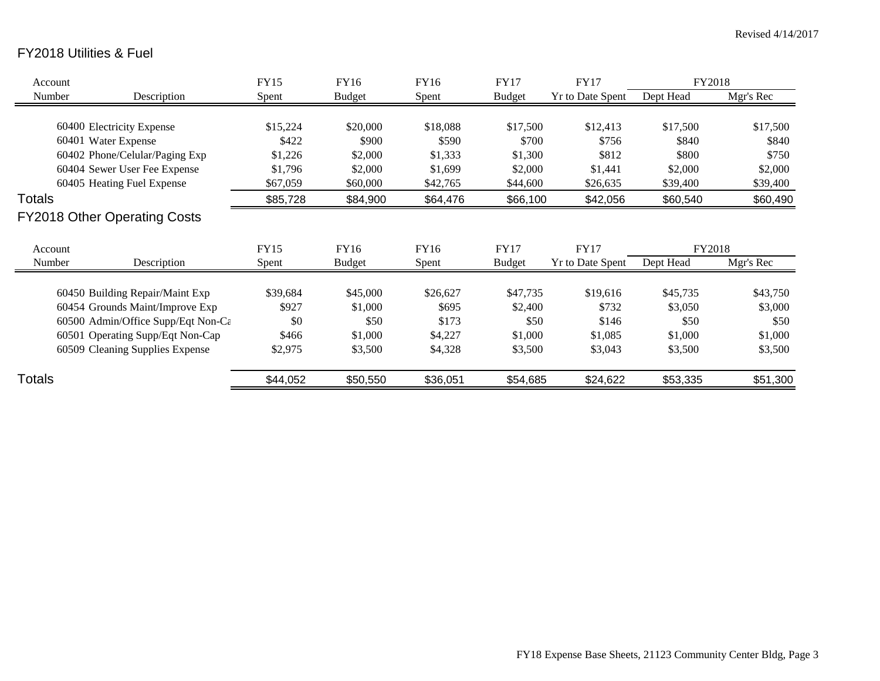## FY2018 Utilities & Fuel

| Account |                                     | FY15     | <b>FY16</b>   | FY16     | <b>FY17</b>   | <b>FY17</b>      | FY2018    |           |
|---------|-------------------------------------|----------|---------------|----------|---------------|------------------|-----------|-----------|
| Number  | Description                         | Spent    | <b>Budget</b> | Spent    | <b>Budget</b> | Yr to Date Spent | Dept Head | Mgr's Rec |
|         |                                     |          |               |          |               |                  |           |           |
|         | 60400 Electricity Expense           | \$15,224 | \$20,000      | \$18,088 | \$17,500      | \$12,413         | \$17,500  | \$17,500  |
|         | 60401 Water Expense                 | \$422    | \$900         | \$590    | \$700         | \$756            | \$840     | \$840     |
|         | 60402 Phone/Celular/Paging Exp      | \$1,226  | \$2,000       | \$1,333  | \$1,300       | \$812            | \$800     | \$750     |
|         | 60404 Sewer User Fee Expense        | \$1,796  | \$2,000       | \$1,699  | \$2,000       | \$1,441          | \$2,000   | \$2,000   |
|         | 60405 Heating Fuel Expense          | \$67,059 | \$60,000      | \$42,765 | \$44,600      | \$26,635         | \$39,400  | \$39,400  |
| Totals  |                                     | \$85,728 | \$84,900      | \$64,476 | \$66,100      | \$42,056         | \$60,540  | \$60,490  |
|         | <b>FY2018 Other Operating Costs</b> |          |               |          |               |                  |           |           |
| Account |                                     | FY15     | FY16          | FY16     | <b>FY17</b>   | <b>FY17</b>      | FY2018    |           |
| Number  | Description                         | Spent    | Budget        | Spent    | <b>Budget</b> | Yr to Date Spent | Dept Head | Mgr's Rec |
|         | 60450 Building Repair/Maint Exp     | \$39,684 | \$45,000      | \$26,627 | \$47,735      | \$19,616         | \$45,735  | \$43,750  |
|         | 60454 Grounds Maint/Improve Exp     | \$927    | \$1,000       | \$695    | \$2,400       | \$732            | \$3,050   | \$3,000   |
|         | 60500 Admin/Office Supp/Eqt Non-Ca  | \$0      | \$50          | \$173    | \$50          | \$146            | \$50      | \$50      |
|         | 60501 Operating Supp/Eqt Non-Cap    | \$466    | \$1,000       | \$4,227  | \$1,000       | \$1,085          | \$1,000   | \$1,000   |
|         | 60509 Cleaning Supplies Expense     | \$2,975  | \$3,500       | \$4,328  | \$3,500       | \$3,043          | \$3,500   | \$3,500   |
| Totals  |                                     | \$44,052 | \$50,550      | \$36,051 | \$54,685      | \$24,622         | \$53,335  | \$51,300  |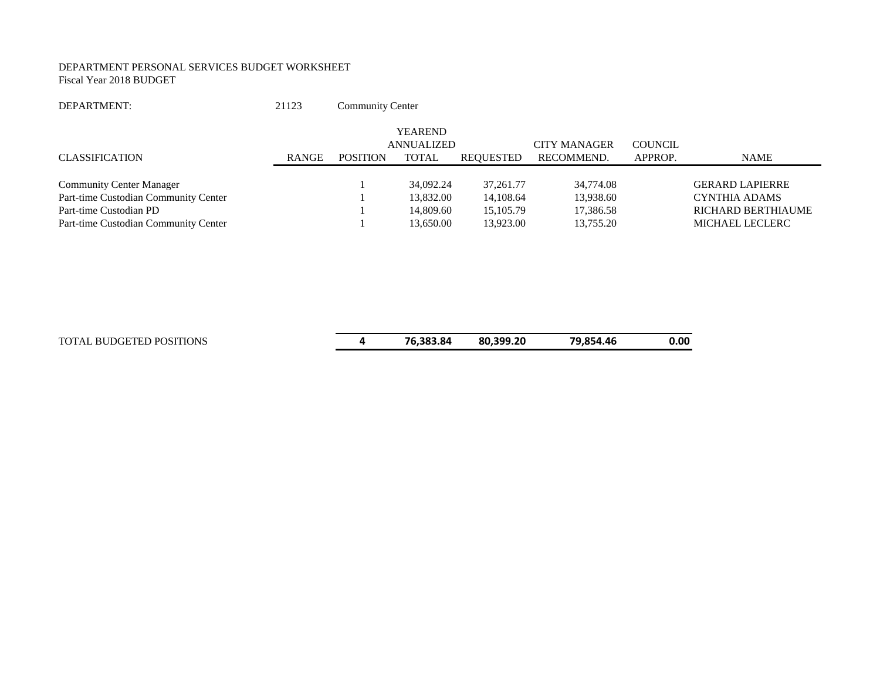#### DEPARTMENT PERSONAL SERVICES BUDGET WORKSHEET Fiscal Year 2018 BUDGET

| DEPARTMENT: | 21123                                                                           | Community Center |
|-------------|---------------------------------------------------------------------------------|------------------|
|             | the contract of the contract of the contract of the contract of the contract of |                  |

|                                      |       |                 | <b>YEAREND</b>    |             |                     |                |                        |
|--------------------------------------|-------|-----------------|-------------------|-------------|---------------------|----------------|------------------------|
|                                      |       |                 | <b>ANNUALIZED</b> |             | <b>CITY MANAGER</b> | <b>COUNCIL</b> |                        |
| CLASSIFICATION                       | RANGE | <b>POSITION</b> | <b>TOTAL</b>      | REQUESTED   | RECOMMEND.          | APPROP.        | <b>NAME</b>            |
|                                      |       |                 |                   |             |                     |                |                        |
| <b>Community Center Manager</b>      |       |                 | 34,092.24         | 37, 261, 77 | 34,774.08           |                | <b>GERARD LAPIERRE</b> |
| Part-time Custodian Community Center |       |                 | 13,832.00         | 14,108.64   | 13,938.60           |                | CYNTHIA ADAMS          |
| Part-time Custodian PD               |       |                 | 14,809.60         | 15,105.79   | 17,386.58           |                | RICHARD BERTHIAUME     |
| Part-time Custodian Community Center |       |                 | 13.650.00         | 13.923.00   | 13.755.20           |                | MICHAEL LECLERC        |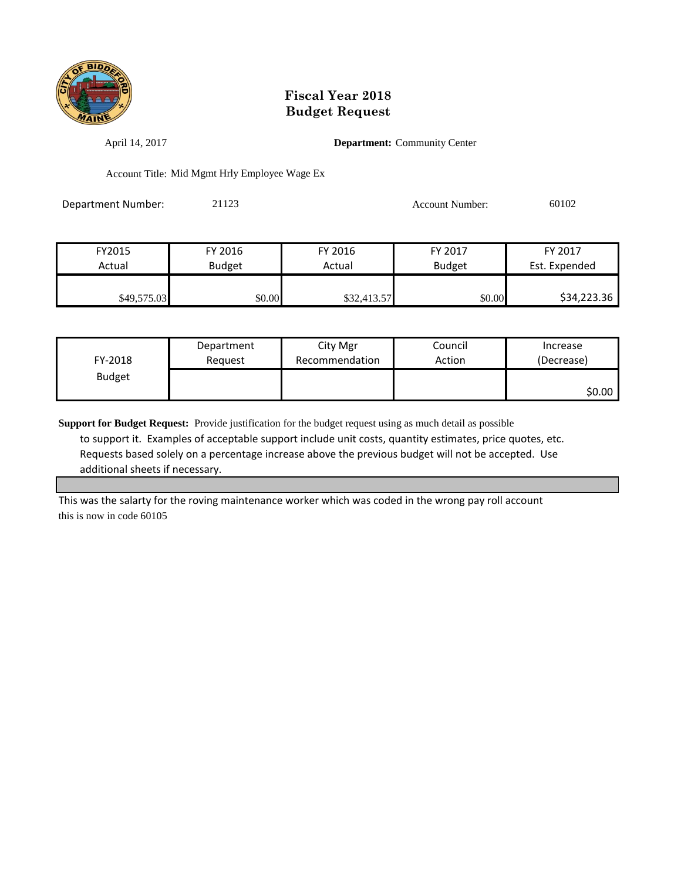

April 14, 2017 **Department:** Community Center

Account Title: Mid Mgmt Hrly Employee Wage Ex

Department Number: 21123 Account Number: 60102

| FY2015      | FY 2016       | FY 2016     | FY 2017       | FY 2017       |
|-------------|---------------|-------------|---------------|---------------|
| Actual      | <b>Budget</b> | Actual      | <b>Budget</b> | Est. Expended |
|             |               |             |               |               |
| \$49,575.03 | \$0.00        | \$32,413.57 | \$0.00        | \$34,223.36   |

| FY-2018       | Department | City Mgr       | Council | Increase   |
|---------------|------------|----------------|---------|------------|
|               | Reguest    | Recommendation | Action  | (Decrease) |
| <b>Budget</b> |            |                |         | \$0.00∣    |

**Support for Budget Request:** Provide justification for the budget request using as much detail as possible to support it. Examples of acceptable support include unit costs, quantity estimates, price quotes, etc. Requests based solely on a percentage increase above the previous budget will not be accepted. Use additional sheets if necessary.

This was the salarty for the roving maintenance worker which was coded in the wrong pay roll account this is now in code 60105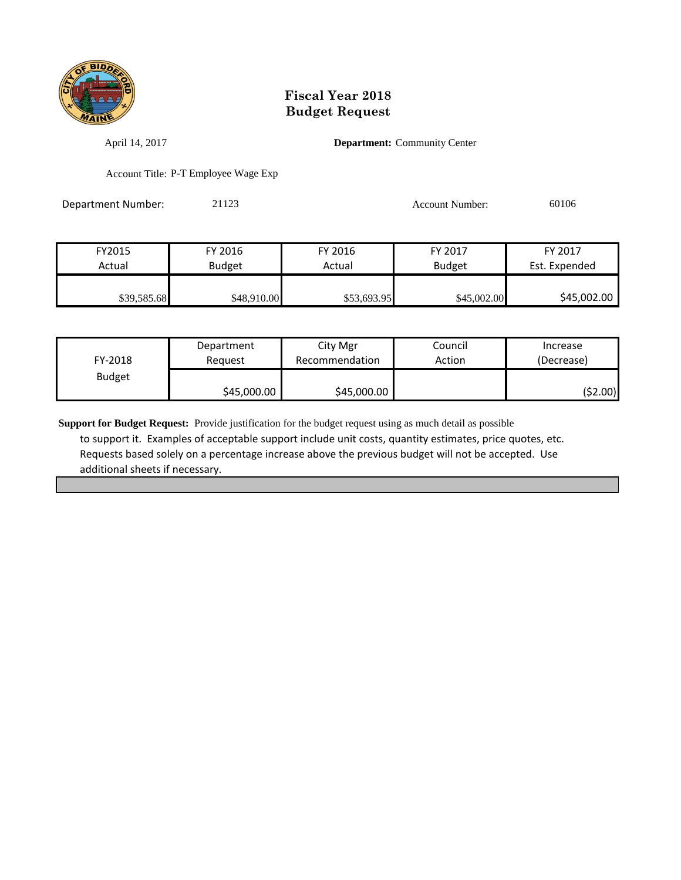

April 14, 2017 **Department:** Community Center

Account Title: P-T Employee Wage Exp

Department Number: 21123 Account Number: 60106

| FY2015      | FY 2016       | FY 2016     | FY 2017       | FY 2017       |
|-------------|---------------|-------------|---------------|---------------|
| Actual      | <b>Budget</b> | Actual      | <b>Budget</b> | Est. Expended |
|             |               |             |               |               |
| \$39,585.68 | \$48,910.00   | \$53,693.95 | \$45,002.00   | \$45,002.00   |

| FY-2018       | Department  | City Mgr       | Council | Increase   |
|---------------|-------------|----------------|---------|------------|
|               | Reauest     | Recommendation | Action  | (Decrease) |
| <b>Budget</b> | \$45,000.00 | \$45,000.00    |         | (\$2.00)   |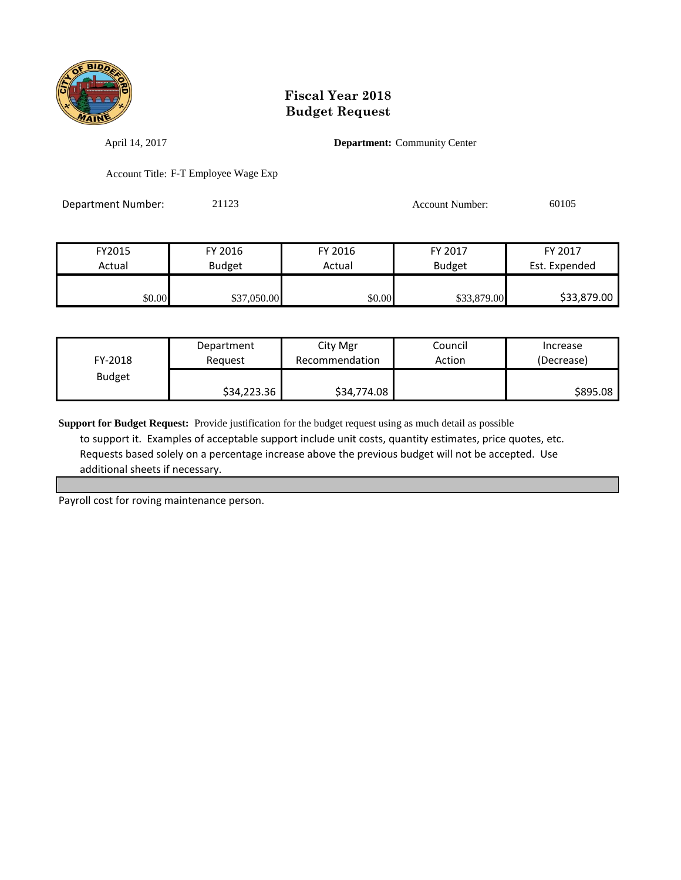

April 14, 2017 **Department:** Community Center

Account Title: F-T Employee Wage Exp

Department Number: 21123 Account Number: 60105

| FY2015 | FY 2016       | FY 2016 | FY 2017       | FY 2017       |
|--------|---------------|---------|---------------|---------------|
| Actual | <b>Budget</b> | Actual  | <b>Budget</b> | Est. Expended |
|        |               |         |               |               |
| \$0.00 | \$37,050.00   | \$0.00  | \$33,879.00   | \$33,879.00   |

| FY-2018       | Department  | City Mgr       | Council | Increase   |
|---------------|-------------|----------------|---------|------------|
|               | Reauest     | Recommendation | Action  | (Decrease) |
| <b>Budget</b> | \$34,223.36 | \$34,774.08    |         | \$895.08   |

**Support for Budget Request:** Provide justification for the budget request using as much detail as possible to support it. Examples of acceptable support include unit costs, quantity estimates, price quotes, etc. Requests based solely on a percentage increase above the previous budget will not be accepted. Use additional sheets if necessary.

Payroll cost for roving maintenance person.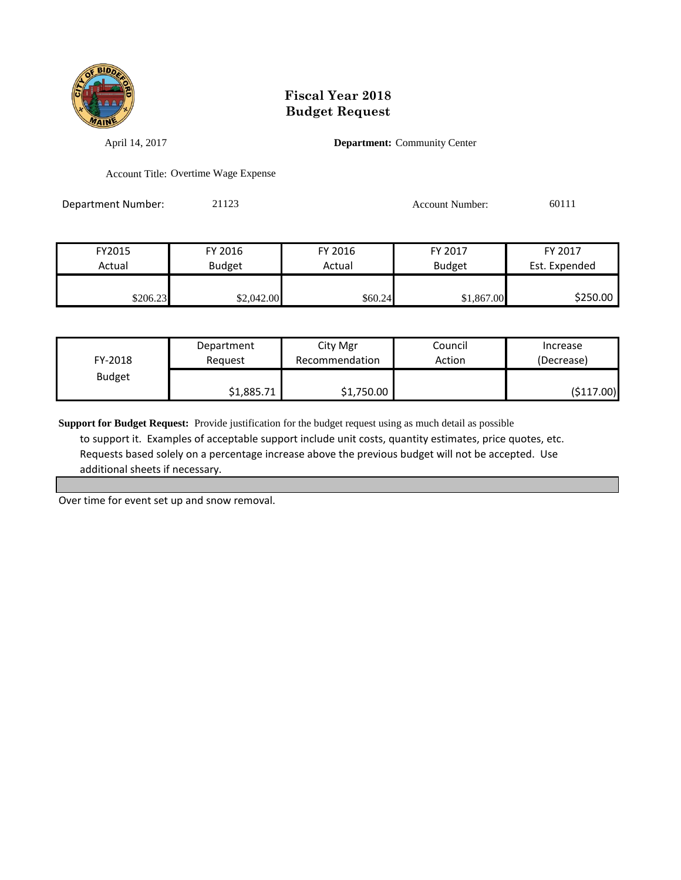

April 14, 2017 **Department:** Community Center

Account Title: Overtime Wage Expense

Department Number: 21123 Account Number: 60111

| FY 2017       | FY 2017       | FY 2016 | FY 2016    | FY2015   |
|---------------|---------------|---------|------------|----------|
| Est. Expended | <b>Budget</b> | Actual  | Budget     | Actual   |
|               |               |         |            |          |
| \$250.00      | \$1,867.00    | \$60.24 | \$2,042.00 | \$206.23 |

| FY-2018       | Department | City Mgr       | Council | Increase   |
|---------------|------------|----------------|---------|------------|
|               | Reauest    | Recommendation | Action  | (Decrease) |
| <b>Budget</b> | \$1,885.71 | \$1,750.00     |         | (\$117.00) |

**Support for Budget Request:** Provide justification for the budget request using as much detail as possible to support it. Examples of acceptable support include unit costs, quantity estimates, price quotes, etc. Requests based solely on a percentage increase above the previous budget will not be accepted. Use additional sheets if necessary.

Over time for event set up and snow removal.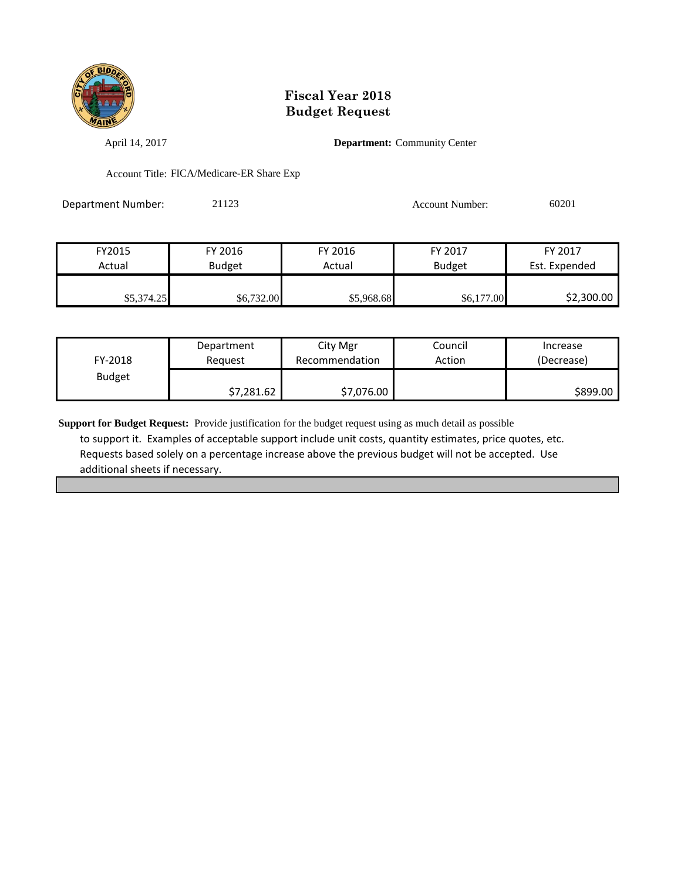

April 14, 2017 **Department:** Community Center

Account Title: FICA/Medicare-ER Share Exp

Department Number: 21123 Account Number: 60201

| FY2015     | FY 2016       | FY 2016    | FY 2017    | FY 2017       |
|------------|---------------|------------|------------|---------------|
| Actual     | <b>Budget</b> | Actual     | Budget     | Est. Expended |
|            |               |            |            |               |
| \$5,374.25 | \$6,732.00    | \$5,968.68 | \$6,177.00 | \$2,300.00    |

| FY-2018       | Department | City Mgr       | Council | Increase   |
|---------------|------------|----------------|---------|------------|
|               | Reguest    | Recommendation | Action  | (Decrease) |
| <b>Budget</b> | \$7,281.62 | \$7,076.00     |         | \$899.00   |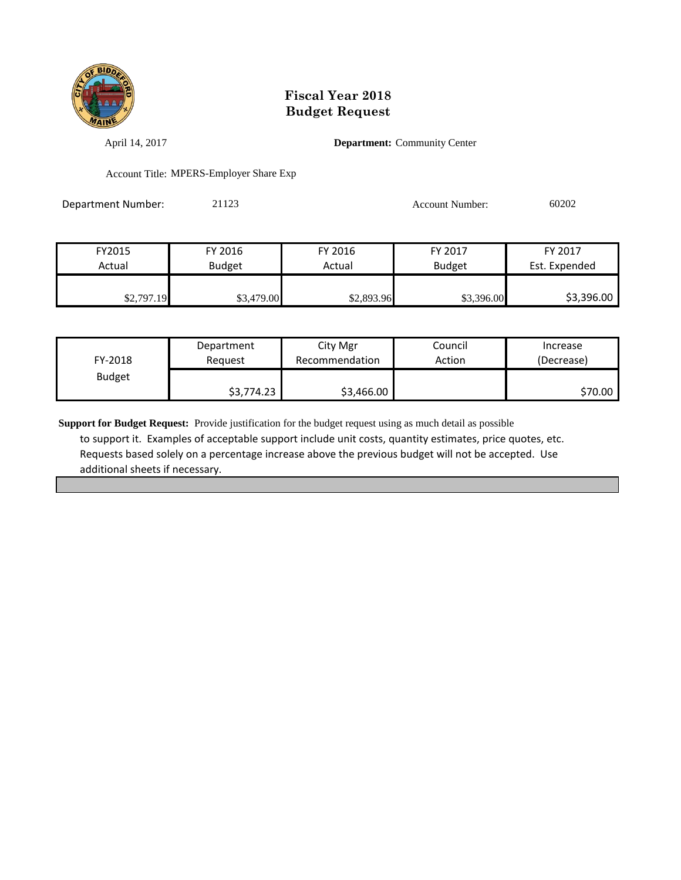

April 14, 2017 **Department:** Community Center

Account Title: MPERS-Employer Share Exp

Department Number: 21123 Account Number: 60202

| FY2015     | FY 2016       | FY 2016    | FY 2017       | FY 2017       |
|------------|---------------|------------|---------------|---------------|
| Actual     | <b>Budget</b> | Actual     | <b>Budget</b> | Est. Expended |
|            |               |            |               |               |
| \$2,797.19 | \$3,479.00    | \$2,893.96 | \$3,396.00    | \$3,396.00    |

| FY-2018       | Department | City Mgr       | Council | Increase   |
|---------------|------------|----------------|---------|------------|
|               | Reauest    | Recommendation | Action  | (Decrease) |
| <b>Budget</b> | \$3,774.23 | \$3,466.00     |         | \$70.00    |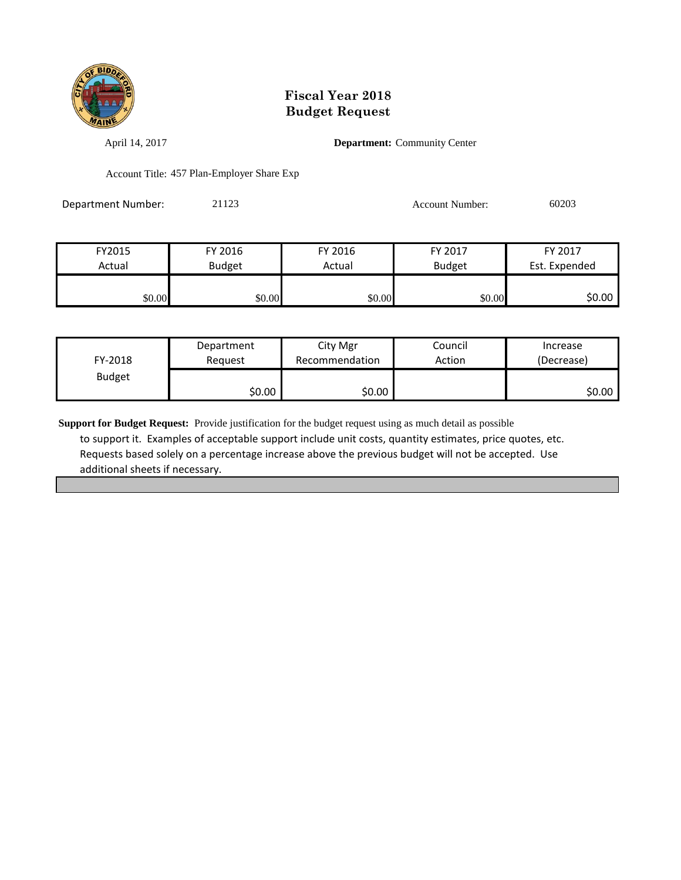

April 14, 2017 **Department:** Community Center

Account Title: 457 Plan-Employer Share Exp

| Department Number: | 21123 | Account Number: | 60203 |
|--------------------|-------|-----------------|-------|
|                    |       |                 |       |

| FY2015 | FY 2016 | FY 2016 | FY 2017       | FY 2017       |
|--------|---------|---------|---------------|---------------|
| Actual | Budget  | Actual  | <b>Budget</b> | Est. Expended |
|        |         |         |               |               |
| \$0.00 | \$0.00  | \$0.00  | \$0.00        | \$0.00        |

| FY-2018       | Department | City Mgr       | Council | Increase   |
|---------------|------------|----------------|---------|------------|
|               | Reauest    | Recommendation | Action  | (Decrease) |
| <b>Budget</b> | ا 50.00    | \$0.00         |         | \$0.00∣    |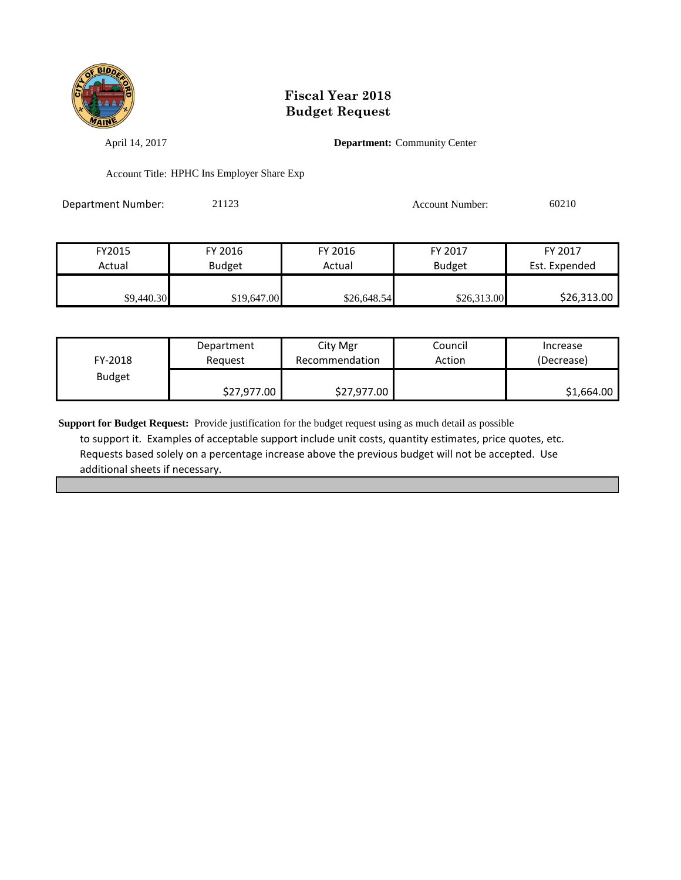

April 14, 2017 **Department:** Community Center

Account Title: HPHC Ins Employer Share Exp

Department Number: 21123 Account Number: 60210

| FY2015     | FY 2016       | FY 2016     | FY 2017       | FY 2017       |
|------------|---------------|-------------|---------------|---------------|
| Actual     | <b>Budget</b> | Actual      | <b>Budget</b> | Est. Expended |
|            |               |             |               |               |
| \$9,440.30 | \$19,647.00   | \$26,648.54 | \$26,313.00   | \$26,313.00   |

| FY-2018       | Department  | City Mgr       | Council | Increase   |
|---------------|-------------|----------------|---------|------------|
|               | Reauest     | Recommendation | Action  | (Decrease) |
| <b>Budget</b> | \$27,977.00 | \$27,977.00    |         | \$1,664.00 |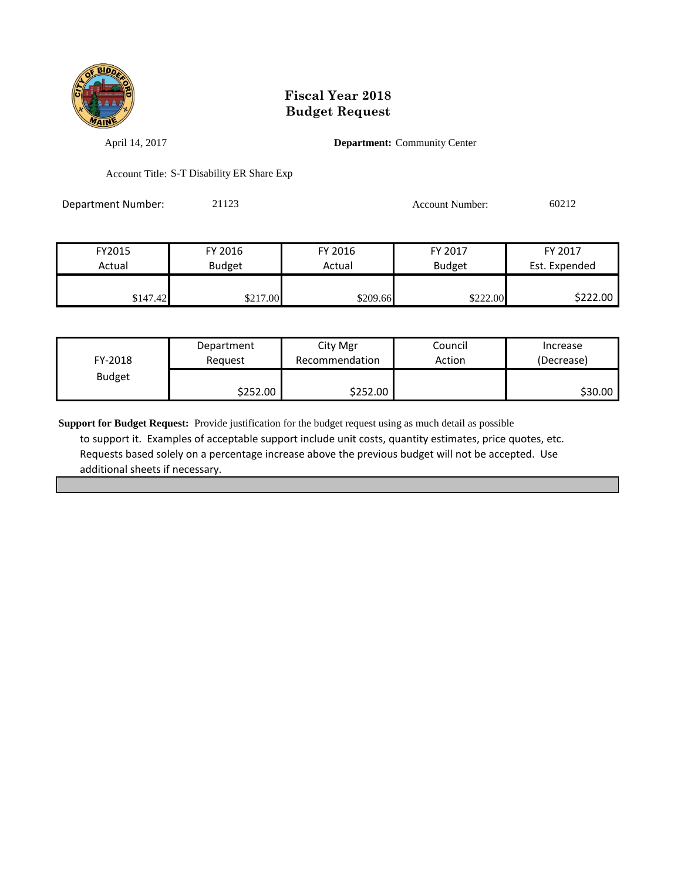

April 14, 2017 **Department:** Community Center

Account Title: S-T Disability ER Share Exp

Department Number: 21123 Account Number: 60212

| FY2015   | FY 2016       | FY 2016  | FY 2017       | FY 2017       |
|----------|---------------|----------|---------------|---------------|
| Actual   | <b>Budget</b> | Actual   | <b>Budget</b> | Est. Expended |
|          |               |          |               |               |
| \$147.42 | \$217.00      | \$209.66 | \$222.00      | \$222.00      |

| FY-2018       | Department | City Mgr       | Council | Increase   |
|---------------|------------|----------------|---------|------------|
|               | Reauest    | Recommendation | Action  | (Decrease) |
| <b>Budget</b> | \$252.00∣  | \$252.00       |         | \$30.00    |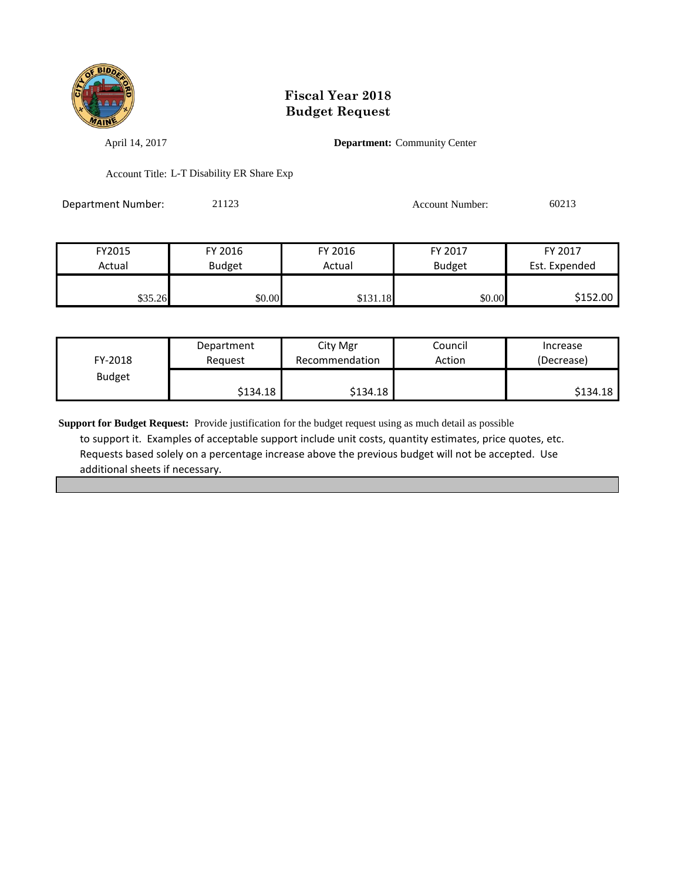

April 14, 2017 **Department:** Community Center

Account Title: L-T Disability ER Share Exp

| Department Number: | 21123 | <b>Account Number:</b> | 60213 |
|--------------------|-------|------------------------|-------|
|                    |       |                        |       |

| FY2015  | FY 2016       | FY 2016  | FY 2017       | FY 2017       |
|---------|---------------|----------|---------------|---------------|
| Actual  | <b>Budget</b> | Actual   | <b>Budget</b> | Est. Expended |
|         |               |          |               |               |
| \$35.26 | \$0.00        | \$131.18 | \$0.00        | \$152.00      |

| FY-2018       | Department | City Mgr       | Council | Increase   |
|---------------|------------|----------------|---------|------------|
|               | Reguest    | Recommendation | Action  | (Decrease) |
| <b>Budget</b> | \$134.18   | \$134.18       |         | \$134.18   |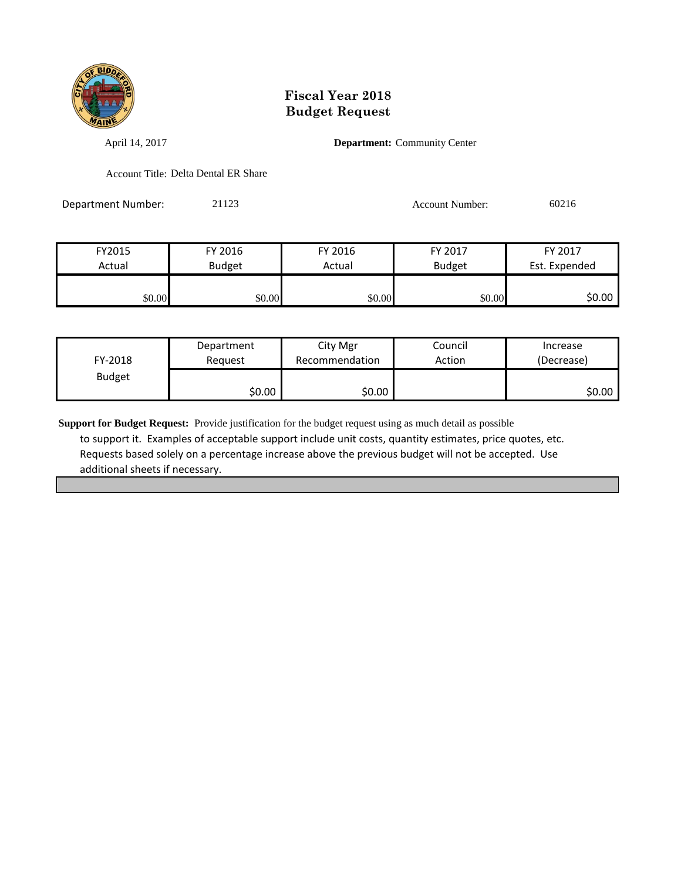

April 14, 2017 **Department:** Community Center

Account Title: Delta Dental ER Share

Department Number: 21123 Account Number: 60216

| FY2015 | FY 2016       | FY 2016 | FY 2017       | FY 2017       |
|--------|---------------|---------|---------------|---------------|
| Actual | <b>Budget</b> | Actual  | <b>Budget</b> | Est. Expended |
|        |               |         |               |               |
| \$0.00 | \$0.00        | \$0.00  | \$0.00        | \$0.00        |

| FY-2018       | Department | City Mgr       | Council | Increase   |
|---------------|------------|----------------|---------|------------|
|               | Reauest    | Recommendation | Action  | (Decrease) |
| <b>Budget</b> | \$0.00     | \$0.00         |         | \$0.00     |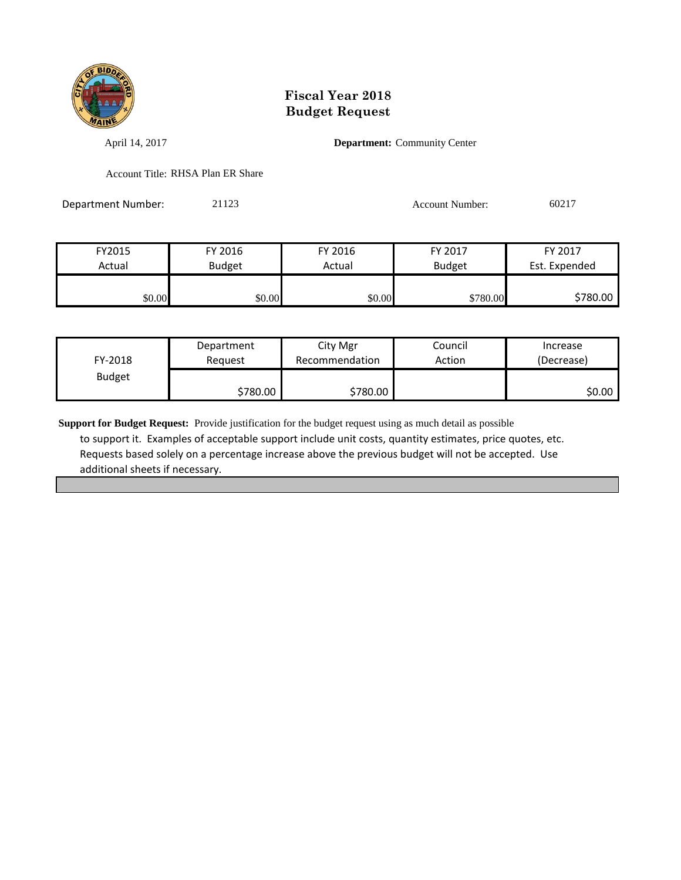

April 14, 2017 **Department:** Community Center

Account Title: RHSA Plan ER Share

Department Number: 21123 Account Number: 60217

| FY2015 | FY 2016       | FY 2016 | FY 2017       | FY 2017       |
|--------|---------------|---------|---------------|---------------|
| Actual | <b>Budget</b> | Actual  | <b>Budget</b> | Est. Expended |
|        |               |         |               |               |
| \$0.00 | \$0.00        | \$0.00  | \$780.00      | \$780.00      |

| FY-2018       | Department | City Mgr       | Council | Increase   |
|---------------|------------|----------------|---------|------------|
|               | Reauest    | Recommendation | Action  | (Decrease) |
| <b>Budget</b> | \$780.00   | \$780.00       |         | ا 50.00    |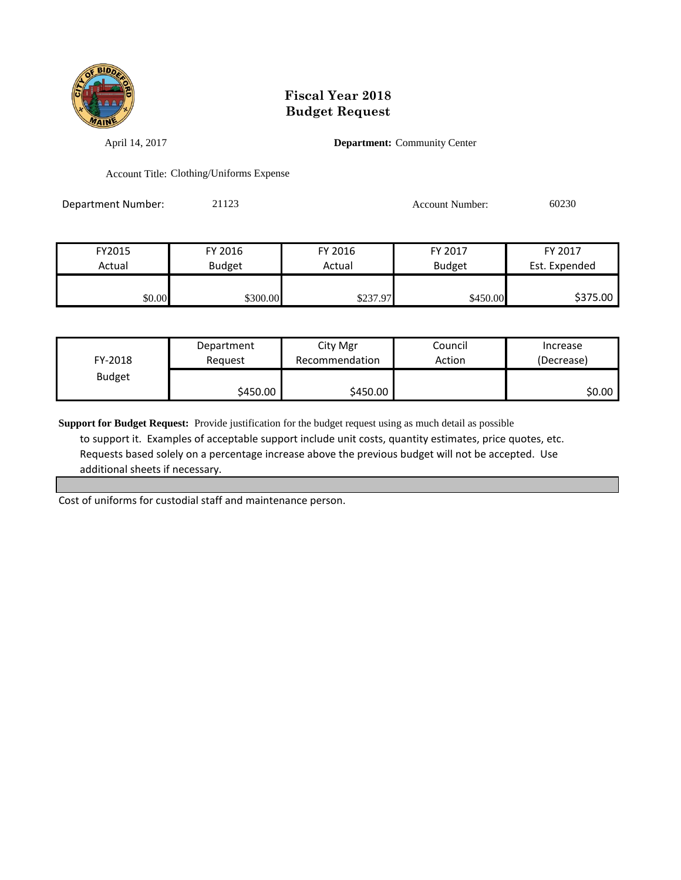

April 14, 2017 **Department:** Community Center

Account Title: Clothing/Uniforms Expense

Department Number: 21123 Account Number: 60230

| FY2015 | FY 2016       | FY 2016  | FY 2017       | FY 2017       |
|--------|---------------|----------|---------------|---------------|
| Actual | <b>Budget</b> | Actual   | <b>Budget</b> | Est. Expended |
|        |               |          |               |               |
| \$0.00 | \$300.00      | \$237.97 | \$450.00      | \$375.00      |

| FY-2018       | Department | City Mgr       | Council | Increase   |
|---------------|------------|----------------|---------|------------|
|               | Reguest    | Recommendation | Action  | (Decrease) |
| <b>Budget</b> | \$450.00 l | \$450.00       |         | \$0.00     |

**Support for Budget Request:** Provide justification for the budget request using as much detail as possible to support it. Examples of acceptable support include unit costs, quantity estimates, price quotes, etc. Requests based solely on a percentage increase above the previous budget will not be accepted. Use additional sheets if necessary.

Cost of uniforms for custodial staff and maintenance person.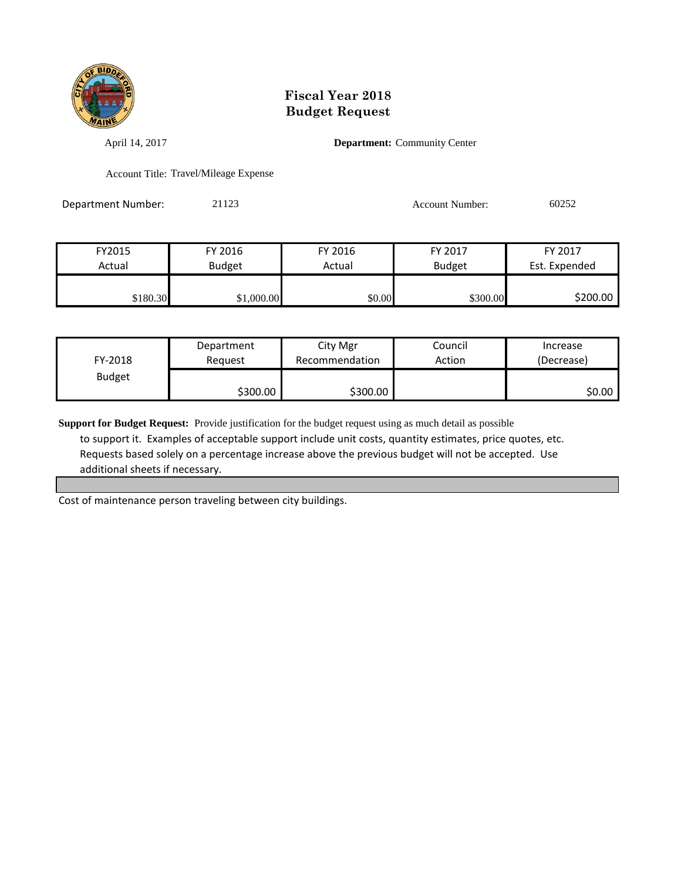

April 14, 2017 **Department:** Community Center

Account Title: Travel/Mileage Expense

Department Number: 21123 Account Number: 60252

| FY2015   | FY 2016       | FY 2016 | FY 2017       | FY 2017       |
|----------|---------------|---------|---------------|---------------|
| Actual   | <b>Budget</b> | Actual  | <b>Budget</b> | Est. Expended |
|          |               |         |               |               |
| \$180.30 | \$1,000.00    | \$0.00  | \$300.00      | \$200.00      |

| FY-2018       | Department | City Mgr       | Council | Increase   |
|---------------|------------|----------------|---------|------------|
|               | Reauest    | Recommendation | Action  | (Decrease) |
| <b>Budget</b> | \$300.00   | \$300.00       |         | \$0.00     |

**Support for Budget Request:** Provide justification for the budget request using as much detail as possible to support it. Examples of acceptable support include unit costs, quantity estimates, price quotes, etc. Requests based solely on a percentage increase above the previous budget will not be accepted. Use additional sheets if necessary.

Cost of maintenance person traveling between city buildings.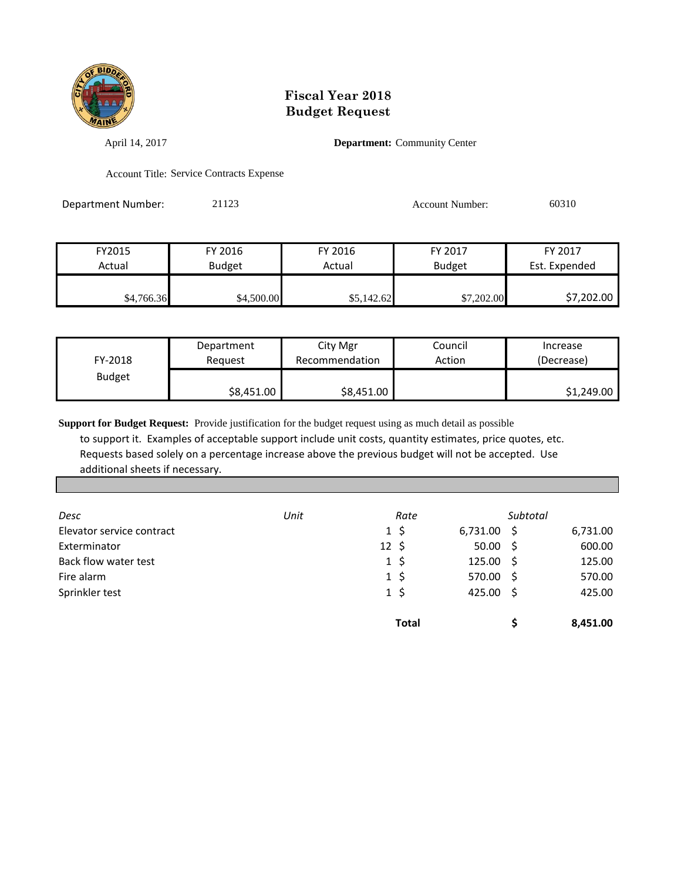

April 14, 2017 **Department:** Community Center

Account Title: Service Contracts Expense

Department Number: 21123 Account Number: 60310

| FY2015     | FY 2016    | FY 2016    | FY 2017       | FY 2017       |
|------------|------------|------------|---------------|---------------|
| Actual     | Budget     | Actual     | <b>Budget</b> | Est. Expended |
|            |            |            |               |               |
| \$4,766.36 | \$4,500.00 | \$5,142.62 | \$7,202.00    | \$7,202.00    |

| FY-2018       | Department | City Mgr       | Council | Increase   |
|---------------|------------|----------------|---------|------------|
|               | Reguest    | Recommendation | Action  | (Decrease) |
| <b>Budget</b> | \$8,451.00 | \$8,451.00     |         | \$1,249.00 |

| Desc                      | Unit | Rate             |               | Subtotal |          |
|---------------------------|------|------------------|---------------|----------|----------|
| Elevator service contract |      | $1\,$ \$         | $6,731.00$ \$ |          | 6,731.00 |
| Exterminator              |      | $12 \; \text{S}$ | $50.00$ \$    |          | 600.00   |
| Back flow water test      |      | $1\,$ \$         | 125.00%       |          | 125.00   |
| Fire alarm                |      | $1\,$ \$         | 570.00 \$     |          | 570.00   |
| Sprinkler test            |      | $1\,$ \$         | 425.00 \$     |          | 425.00   |
|                           |      | <b>Total</b>     |               |          | 8,451.00 |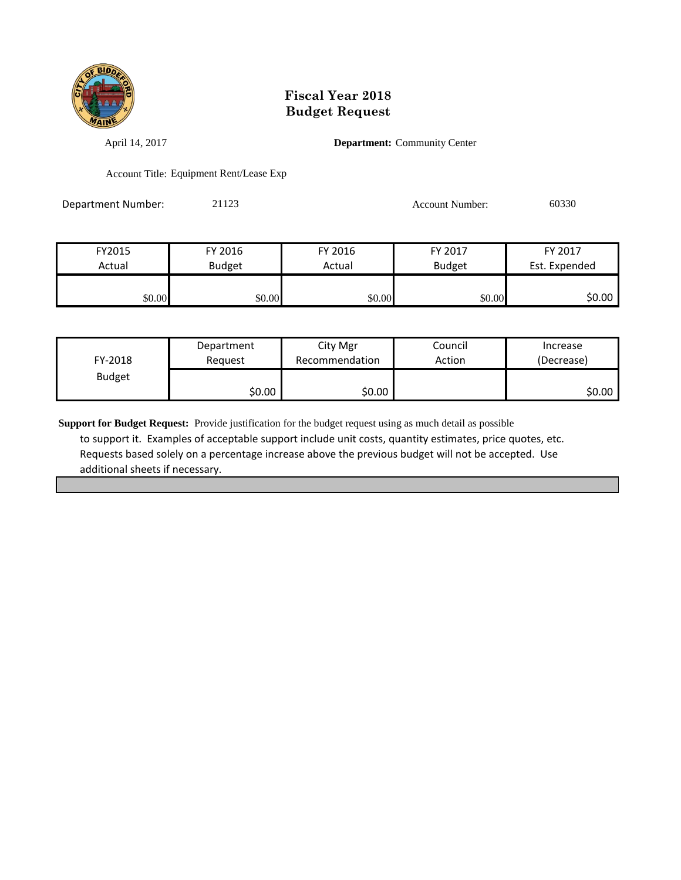

April 14, 2017 **Department:** Community Center

Account Title: Equipment Rent/Lease Exp

Department Number: 21123 200330 Account Number: 60330

| FY2015 | FY 2016       | FY 2016 | FY 2017       | FY 2017       |
|--------|---------------|---------|---------------|---------------|
| Actual | <b>Budget</b> | Actual  | <b>Budget</b> | Est. Expended |
|        |               |         |               |               |
| \$0.00 | \$0.00        | \$0.00  | \$0.00        | \$0.00        |

| FY-2018       | Department | City Mgr       | Council | Increase   |
|---------------|------------|----------------|---------|------------|
|               | Reauest    | Recommendation | Action  | (Decrease) |
| <b>Budget</b> | ا 50.00    | \$0.00         |         | \$0.00∣    |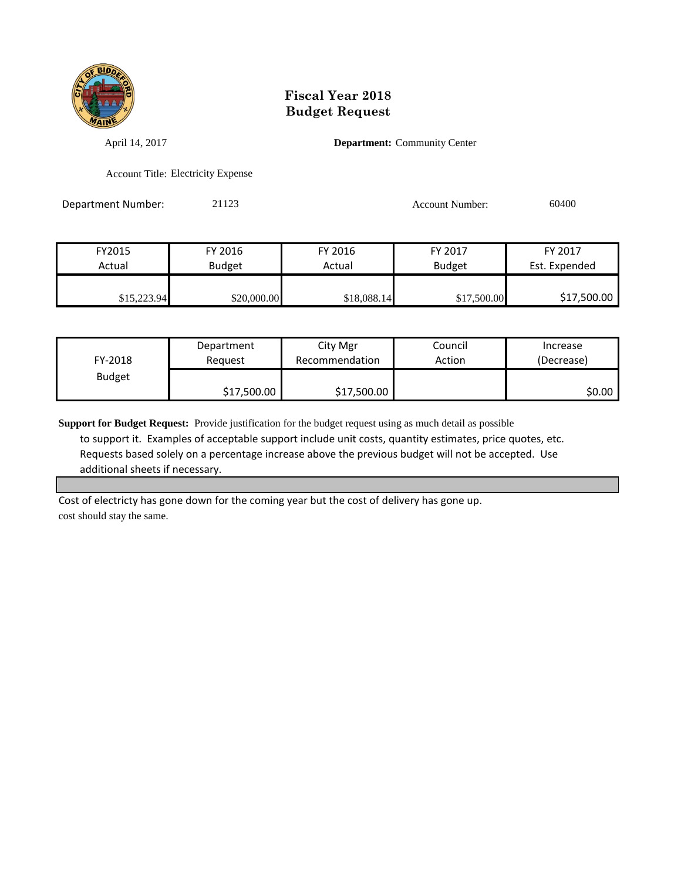

April 14, 2017 **Department:** Community Center

Account Title: Electricity Expense

Department Number: 21123 2000 2012 2012 Account Number: 60400

| FY2015      | FY 2016       | FY 2016     | FY 2017       | FY 2017       |
|-------------|---------------|-------------|---------------|---------------|
| Actual      | <b>Budget</b> | Actual      | <b>Budget</b> | Est. Expended |
|             |               |             |               |               |
| \$15,223.94 | \$20,000.00   | \$18,088.14 | \$17,500.00   | \$17,500.00   |

| FY-2018       | Department  | City Mgr       | Council | Increase   |
|---------------|-------------|----------------|---------|------------|
|               | Reauest     | Recommendation | Action  | (Decrease) |
| <b>Budget</b> | \$17,500.00 | \$17,500.00    |         | SO.OO I    |

**Support for Budget Request:** Provide justification for the budget request using as much detail as possible to support it. Examples of acceptable support include unit costs, quantity estimates, price quotes, etc. Requests based solely on a percentage increase above the previous budget will not be accepted. Use additional sheets if necessary.

Cost of electricty has gone down for the coming year but the cost of delivery has gone up. cost should stay the same.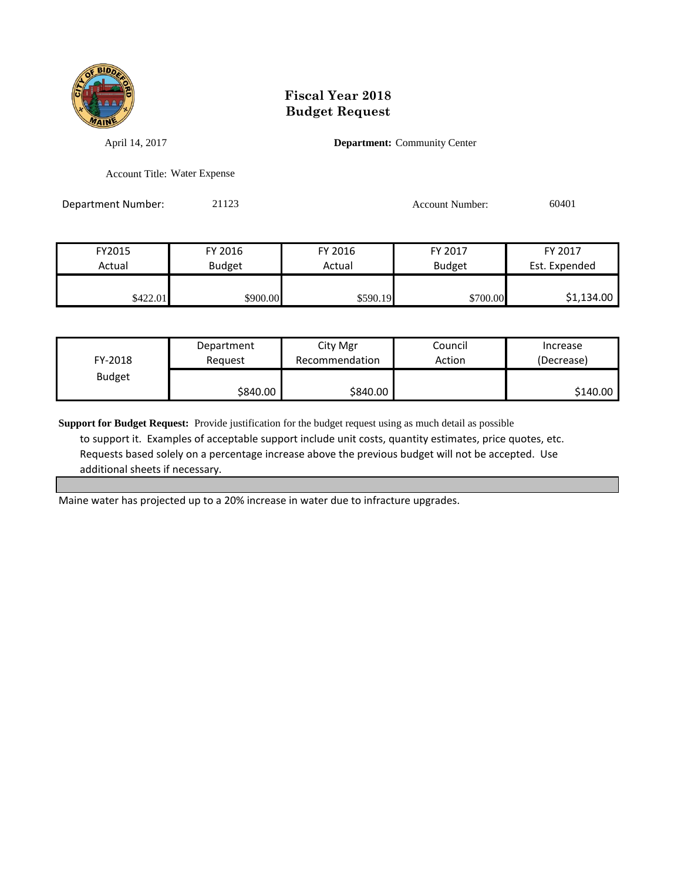

April 14, 2017 **Department:** Community Center

Account Title: Water Expense

Department Number: 21123 Account Number: 60401

| FY2015   | FY 2016       | FY 2016  | FY 2017       | FY 2017       |
|----------|---------------|----------|---------------|---------------|
| Actual   | <b>Budget</b> | Actual   | <b>Budget</b> | Est. Expended |
|          |               |          |               |               |
| \$422.01 | \$900.00      | \$590.19 | \$700.00      | \$1,134.00    |

| FY-2018       | Department | City Mgr       | Council | Increase   |
|---------------|------------|----------------|---------|------------|
|               | Reguest    | Recommendation | Action  | (Decrease) |
| <b>Budget</b> | \$840.00   | \$840.00       |         | \$140.00   |

**Support for Budget Request:** Provide justification for the budget request using as much detail as possible to support it. Examples of acceptable support include unit costs, quantity estimates, price quotes, etc. Requests based solely on a percentage increase above the previous budget will not be accepted. Use additional sheets if necessary.

Maine water has projected up to a 20% increase in water due to infracture upgrades.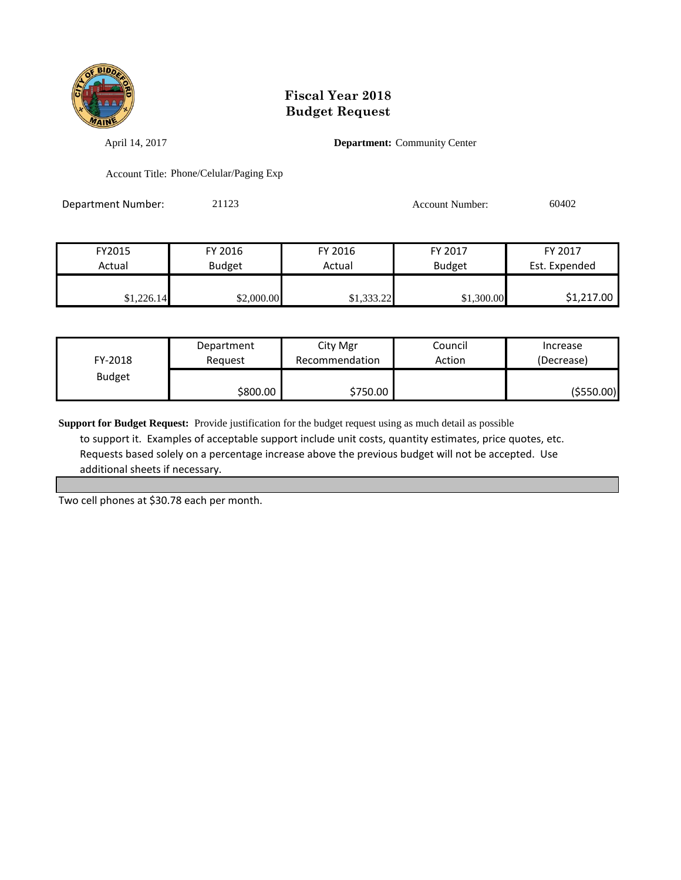

April 14, 2017 **Department:** Community Center

Account Title: Phone/Celular/Paging Exp

Department Number: 21123 Account Number: 60402

| FY2015     | FY 2016    | FY 2016    | FY 2017       | FY 2017       |
|------------|------------|------------|---------------|---------------|
| Actual     | Budget     | Actual     | <b>Budget</b> | Est. Expended |
|            |            |            |               |               |
| \$1,226.14 | \$2,000.00 | \$1,333.22 | \$1,300.00    | \$1,217.00    |

| FY-2018       | Department | City Mgr       | Council | Increase   |
|---------------|------------|----------------|---------|------------|
|               | Reauest    | Recommendation | Action  | (Decrease) |
| <b>Budget</b> | \$800.00   | \$750.00       |         | (\$550.00) |

**Support for Budget Request:** Provide justification for the budget request using as much detail as possible to support it. Examples of acceptable support include unit costs, quantity estimates, price quotes, etc. Requests based solely on a percentage increase above the previous budget will not be accepted. Use additional sheets if necessary.

Two cell phones at \$30.78 each per month.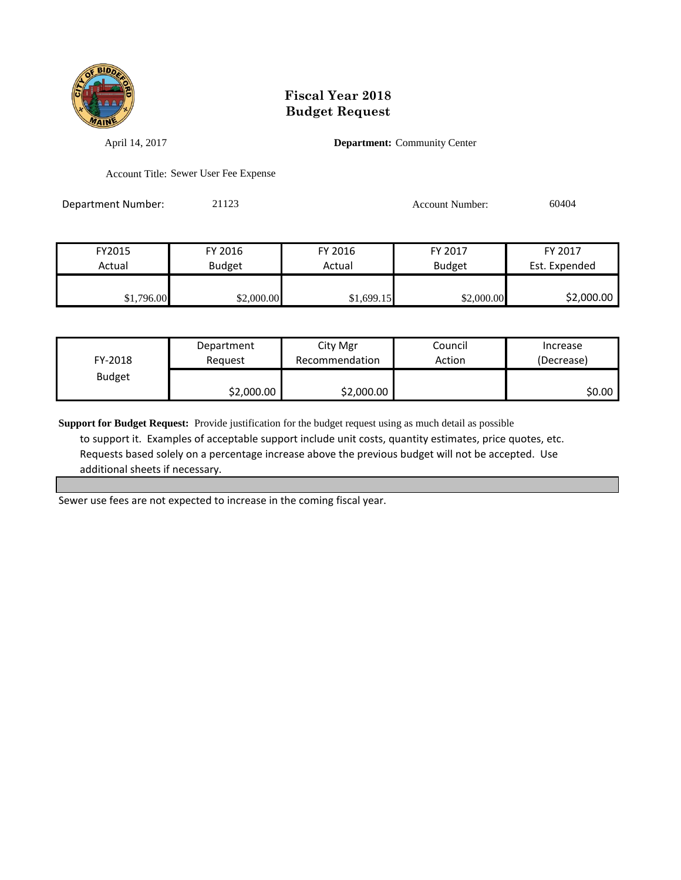

April 14, 2017 **Department:** Community Center

Account Title: Sewer User Fee Expense

Department Number: 21123 21123 Account Number: 60404

| FY2015     | FY 2016    | FY 2016    | FY 2017       | FY 2017       |
|------------|------------|------------|---------------|---------------|
| Actual     | Budget     | Actual     | <b>Budget</b> | Est. Expended |
|            |            |            |               |               |
| \$1,796.00 | \$2,000.00 | \$1,699.15 | \$2,000.00    | \$2,000.00    |

| FY-2018       | Department | City Mgr       | Council | Increase   |
|---------------|------------|----------------|---------|------------|
|               | Reauest    | Recommendation | Action  | (Decrease) |
| <b>Budget</b> | \$2,000.00 | \$2,000.00     |         | \$0.00     |

**Support for Budget Request:** Provide justification for the budget request using as much detail as possible to support it. Examples of acceptable support include unit costs, quantity estimates, price quotes, etc. Requests based solely on a percentage increase above the previous budget will not be accepted. Use additional sheets if necessary.

Sewer use fees are not expected to increase in the coming fiscal year.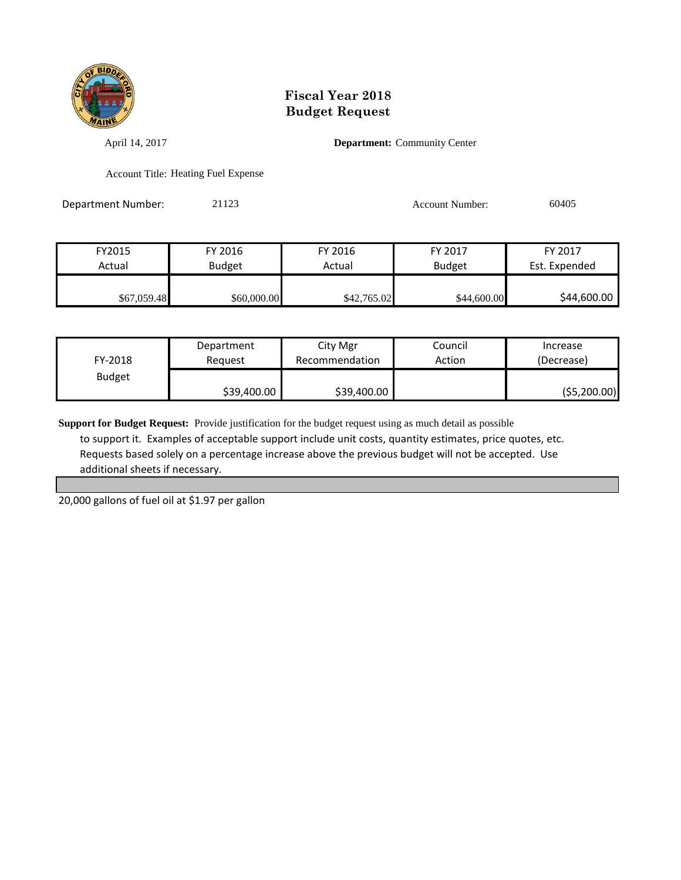

April 14, 2017 **Department:** Community Center

Account Title: Heating Fuel Expense

Department Number: 21123 21123 Account Number: 60405

| FY2015      | FY 2016       | FY 2016     | FY 2017       | FY 2017       |
|-------------|---------------|-------------|---------------|---------------|
| Actual      | <b>Budget</b> | Actual      | <b>Budget</b> | Est. Expended |
|             |               |             |               |               |
| \$67,059.48 | \$60,000.00   | \$42,765.02 | \$44,600.00   | \$44,600.00   |

| FY-2018       | Department  | City Mgr       | Council | Increase    |
|---------------|-------------|----------------|---------|-------------|
|               | Reauest     | Recommendation | Action  | (Decrease)  |
| <b>Budget</b> | \$39,400.00 | \$39,400.00    |         | (55,200.00) |

**Support for Budget Request:** Provide justification for the budget request using as much detail as possible to support it. Examples of acceptable support include unit costs, quantity estimates, price quotes, etc. Requests based solely on a percentage increase above the previous budget will not be accepted. Use additional sheets if necessary.

20,000 gallons of fuel oil at \$1.97 per gallon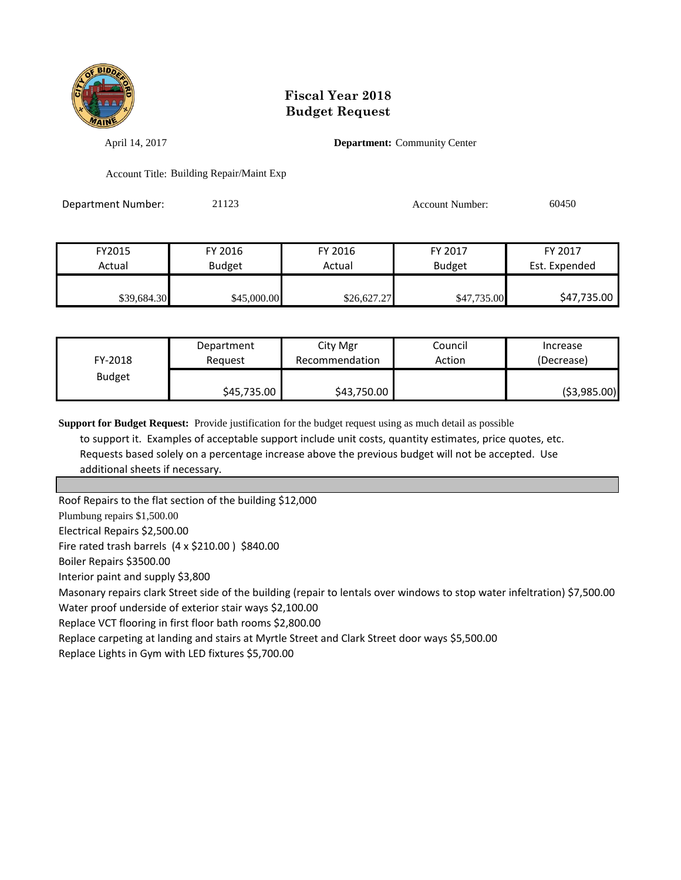

April 14, 2017 **Department:** Community Center

Account Title: Building Repair/Maint Exp

Department Number: 21123 Account Number: 60450

| FY2015      | FY 2016       | FY 2016     | FY 2017       | FY 2017       |
|-------------|---------------|-------------|---------------|---------------|
| Actual      | <b>Budget</b> | Actual      | <b>Budget</b> | Est. Expended |
|             |               |             |               |               |
| \$39,684.30 | \$45,000.00   | \$26,627.27 | \$47,735.00   | \$47,735.00   |

| FY-2018       | Department  | City Mgr       | Council | Increase      |
|---------------|-------------|----------------|---------|---------------|
|               | Reauest     | Recommendation | Action  | (Decrease)    |
| <b>Budget</b> | \$45,735.00 | \$43,750.00    |         | ( \$3,985.00) |

**Support for Budget Request:** Provide justification for the budget request using as much detail as possible

 to support it. Examples of acceptable support include unit costs, quantity estimates, price quotes, etc. Requests based solely on a percentage increase above the previous budget will not be accepted. Use additional sheets if necessary.

Roof Repairs to the flat section of the building \$12,000

Plumbung repairs \$1,500.00

Electrical Repairs \$2,500.00

Fire rated trash barrels (4 x \$210.00 ) \$840.00

Boiler Repairs \$3500.00

Interior paint and supply \$3,800

Masonary repairs clark Street side of the building (repair to lentals over windows to stop water infeltration) \$7,500.00

Water proof underside of exterior stair ways \$2,100.00

Replace VCT flooring in first floor bath rooms \$2,800.00

Replace carpeting at landing and stairs at Myrtle Street and Clark Street door ways \$5,500.00

Replace Lights in Gym with LED fixtures \$5,700.00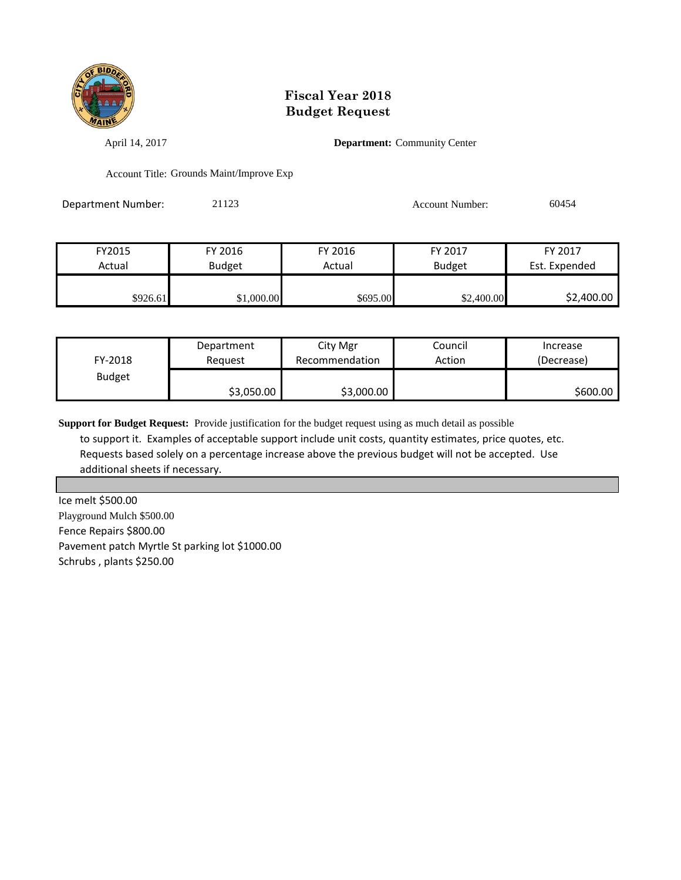

April 14, 2017 **Department:** Community Center

Account Title: Grounds Maint/Improve Exp

Department Number: 21123 21123 Account Number: 60454

| FY2015   | FY 2016       | FY 2016  | FY 2017       | FY 2017       |
|----------|---------------|----------|---------------|---------------|
| Actual   | <b>Budget</b> | Actual   | <b>Budget</b> | Est. Expended |
|          |               |          |               |               |
| \$926.61 | \$1,000.00    | \$695.00 | \$2,400.00    | \$2,400.00    |

| FY-2018       | Department | City Mgr       | Council | Increase   |
|---------------|------------|----------------|---------|------------|
|               | Reauest    | Recommendation | Action  | (Decrease) |
| <b>Budget</b> | \$3,050.00 | \$3,000.00     |         | \$600.00   |

**Support for Budget Request:** Provide justification for the budget request using as much detail as possible to support it. Examples of acceptable support include unit costs, quantity estimates, price quotes, etc. Requests based solely on a percentage increase above the previous budget will not be accepted. Use additional sheets if necessary.

Ice melt \$500.00 Playground Mulch \$500.00 Fence Repairs \$800.00 Pavement patch Myrtle St parking lot \$1000.00 Schrubs , plants \$250.00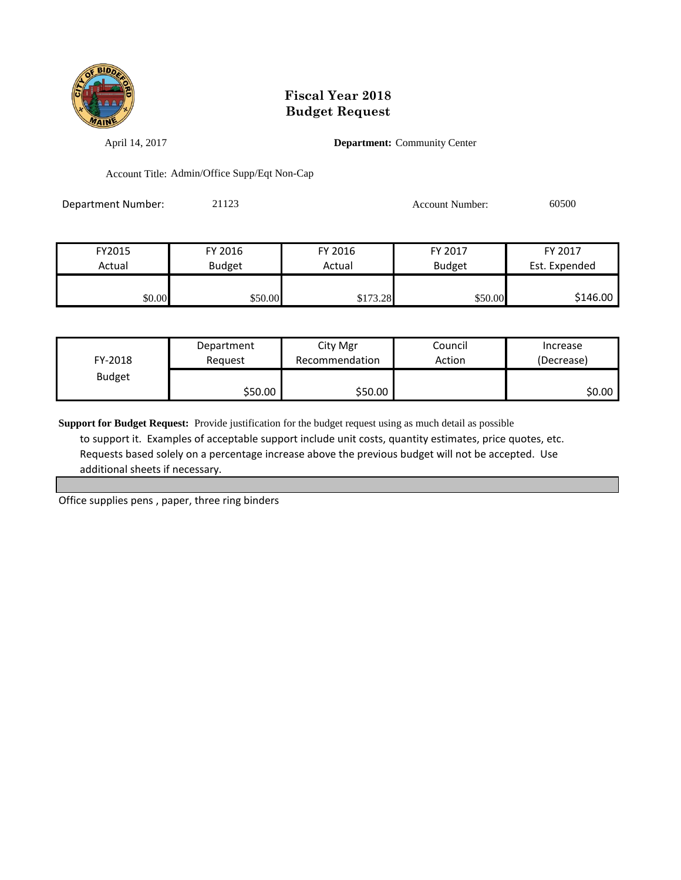

April 14, 2017 **Department:** Community Center

Account Title: Admin/Office Supp/Eqt Non-Cap

Department Number: 21123 Account Number: 60500

| FY2015 | FY 2016       | FY 2016  | FY 2017       | FY 2017       |
|--------|---------------|----------|---------------|---------------|
| Actual | <b>Budget</b> | Actual   | <b>Budget</b> | Est. Expended |
|        |               |          |               |               |
| \$0.00 | \$50.00       | \$173.28 | \$50.00       | \$146.00      |

| FY-2018       | Department | City Mgr       | Council | Increase   |
|---------------|------------|----------------|---------|------------|
|               | Reauest    | Recommendation | Action  | (Decrease) |
| <b>Budget</b> | \$50.00    | \$50.00        |         | \$0.00     |

**Support for Budget Request:** Provide justification for the budget request using as much detail as possible to support it. Examples of acceptable support include unit costs, quantity estimates, price quotes, etc. Requests based solely on a percentage increase above the previous budget will not be accepted. Use additional sheets if necessary.

Office supplies pens , paper, three ring binders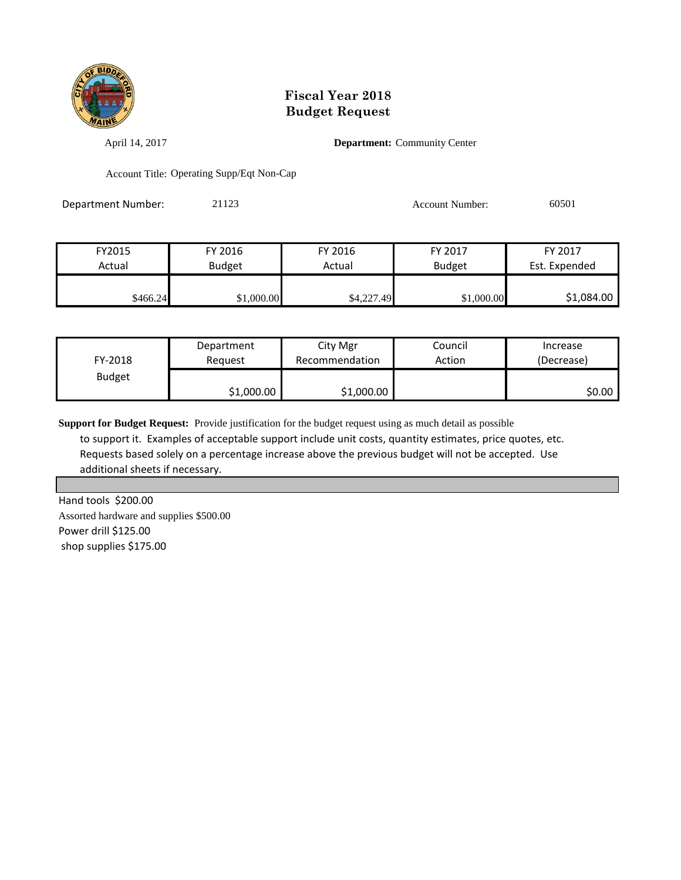

April 14, 2017 **Department:** Community Center

Account Title: Operating Supp/Eqt Non-Cap

Department Number: 21123 Account Number: 60501

| FY 2017       | FY 2017       | FY 2016    | FY 2016       | FY2015   |
|---------------|---------------|------------|---------------|----------|
| Est. Expended | <b>Budget</b> | Actual     | <b>Budget</b> | Actual   |
|               |               |            |               |          |
| \$1,084.00    | \$1,000.00    | \$4,227.49 | \$1,000.00    | \$466.24 |

| FY-2018       | Department | City Mgr       | Council | Increase   |
|---------------|------------|----------------|---------|------------|
|               | Reguest    | Recommendation | Action  | (Decrease) |
| <b>Budget</b> | \$1,000.00 | \$1,000.00     |         | \$0.00 I   |

**Support for Budget Request:** Provide justification for the budget request using as much detail as possible to support it. Examples of acceptable support include unit costs, quantity estimates, price quotes, etc. Requests based solely on a percentage increase above the previous budget will not be accepted. Use additional sheets if necessary.

Hand tools \$200.00 Assorted hardware and supplies \$500.00 Power drill \$125.00 shop supplies \$175.00